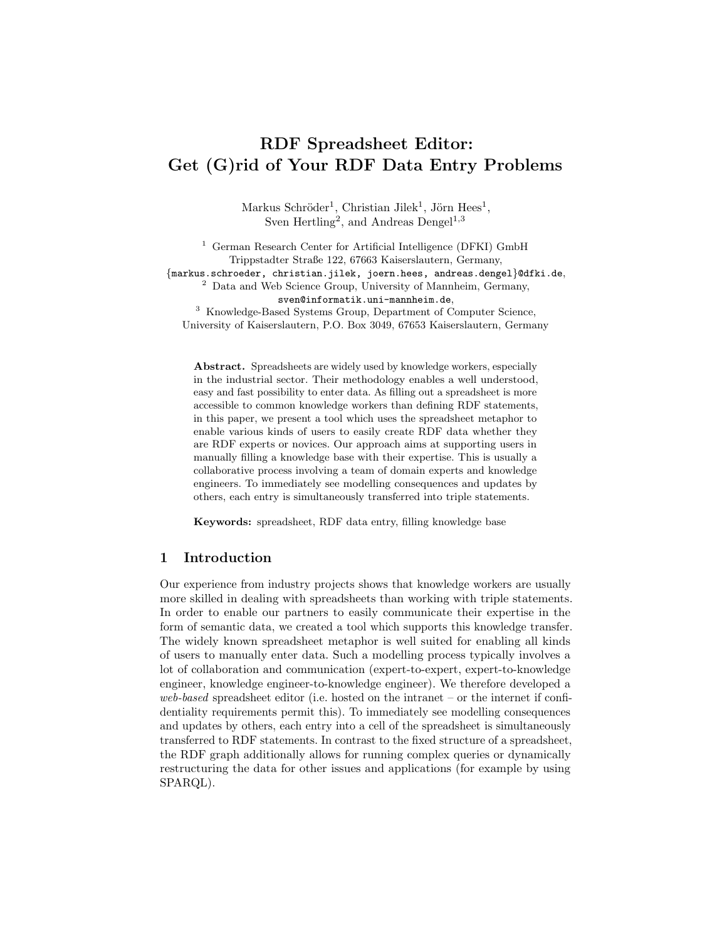# RDF Spreadsheet Editor: Get (G)rid of Your RDF Data Entry Problems

Markus Schröder<sup>1</sup>, Christian Jilek<sup>1</sup>, Jörn Hees<sup>1</sup>, Sven Hertling<sup>2</sup>, and Andreas Dengel<sup>1,3</sup>

<sup>1</sup> German Research Center for Artificial Intelligence (DFKI) GmbH Trippstadter Straße 122, 67663 Kaiserslautern, Germany, {markus.schroeder, christian.jilek, joern.hees, andreas.dengel}@dfki.de, <sup>2</sup> Data and Web Science Group, University of Mannheim, Germany, sven@informatik.uni-mannheim.de, <sup>3</sup> Knowledge-Based Systems Group, Department of Computer Science, University of Kaiserslautern, P.O. Box 3049, 67653 Kaiserslautern, Germany

Abstract. Spreadsheets are widely used by knowledge workers, especially in the industrial sector. Their methodology enables a well understood, easy and fast possibility to enter data. As filling out a spreadsheet is more accessible to common knowledge workers than defining RDF statements, in this paper, we present a tool which uses the spreadsheet metaphor to enable various kinds of users to easily create RDF data whether they are RDF experts or novices. Our approach aims at supporting users in manually filling a knowledge base with their expertise. This is usually a collaborative process involving a team of domain experts and knowledge engineers. To immediately see modelling consequences and updates by others, each entry is simultaneously transferred into triple statements.

Keywords: spreadsheet, RDF data entry, filling knowledge base

## 1 Introduction

Our experience from industry projects shows that knowledge workers are usually more skilled in dealing with spreadsheets than working with triple statements. In order to enable our partners to easily communicate their expertise in the form of semantic data, we created a tool which supports this knowledge transfer. The widely known spreadsheet metaphor is well suited for enabling all kinds of users to manually enter data. Such a modelling process typically involves a lot of collaboration and communication (expert-to-expert, expert-to-knowledge engineer, knowledge engineer-to-knowledge engineer). We therefore developed a web-based spreadsheet editor (i.e. hosted on the intranet – or the internet if confidentiality requirements permit this). To immediately see modelling consequences and updates by others, each entry into a cell of the spreadsheet is simultaneously transferred to RDF statements. In contrast to the fixed structure of a spreadsheet, the RDF graph additionally allows for running complex queries or dynamically restructuring the data for other issues and applications (for example by using SPARQL).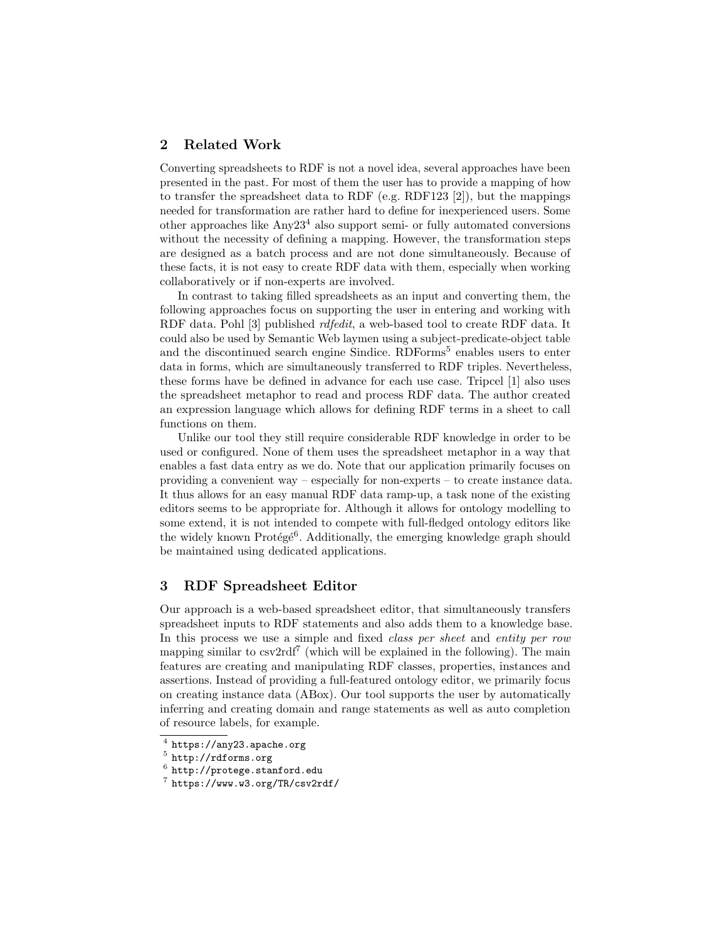# 2 Related Work

Converting spreadsheets to RDF is not a novel idea, several approaches have been presented in the past. For most of them the user has to provide a mapping of how to transfer the spreadsheet data to RDF (e.g. RDF123 [\[2\]](#page-3-0)), but the mappings needed for transformation are rather hard to define for inexperienced users. Some other approaches like  $\text{Any}23^4$  $\text{Any}23^4$  also support semi- or fully automated conversions without the necessity of defining a mapping. However, the transformation steps are designed as a batch process and are not done simultaneously. Because of these facts, it is not easy to create RDF data with them, especially when working collaboratively or if non-experts are involved.

In contrast to taking filled spreadsheets as an input and converting them, the following approaches focus on supporting the user in entering and working with RDF data. Pohl [\[3\]](#page-3-1) published rdfedit, a web-based tool to create RDF data. It could also be used by Semantic Web laymen using a subject-predicate-object table and the discontinued search engine Sindice. RDForms<sup>[5](#page-1-1)</sup> enables users to enter data in forms, which are simultaneously transferred to RDF triples. Nevertheless, these forms have be defined in advance for each use case. Tripcel [\[1\]](#page-3-2) also uses the spreadsheet metaphor to read and process RDF data. The author created an expression language which allows for defining RDF terms in a sheet to call functions on them.

Unlike our tool they still require considerable RDF knowledge in order to be used or configured. None of them uses the spreadsheet metaphor in a way that enables a fast data entry as we do. Note that our application primarily focuses on providing a convenient way – especially for non-experts – to create instance data. It thus allows for an easy manual RDF data ramp-up, a task none of the existing editors seems to be appropriate for. Although it allows for ontology modelling to some extend, it is not intended to compete with full-fledged ontology editors like the widely known Protégé<sup>[6](#page-1-2)</sup>. Additionally, the emerging knowledge graph should be maintained using dedicated applications.

# 3 RDF Spreadsheet Editor

Our approach is a web-based spreadsheet editor, that simultaneously transfers spreadsheet inputs to RDF statements and also adds them to a knowledge base. In this process we use a simple and fixed *class per sheet* and *entity per row* mapping similar to  $\text{csv2rdf}^7$  $\text{csv2rdf}^7$  (which will be explained in the following). The main features are creating and manipulating RDF classes, properties, instances and assertions. Instead of providing a full-featured ontology editor, we primarily focus on creating instance data (ABox). Our tool supports the user by automatically inferring and creating domain and range statements as well as auto completion of resource labels, for example.

<span id="page-1-0"></span> $^4$  <https://any23.apache.org>

<span id="page-1-1"></span> $^5$  <http://rdforms.org>

<span id="page-1-2"></span> $^6$  <http://protege.stanford.edu>

<span id="page-1-3"></span><sup>7</sup> <https://www.w3.org/TR/csv2rdf/>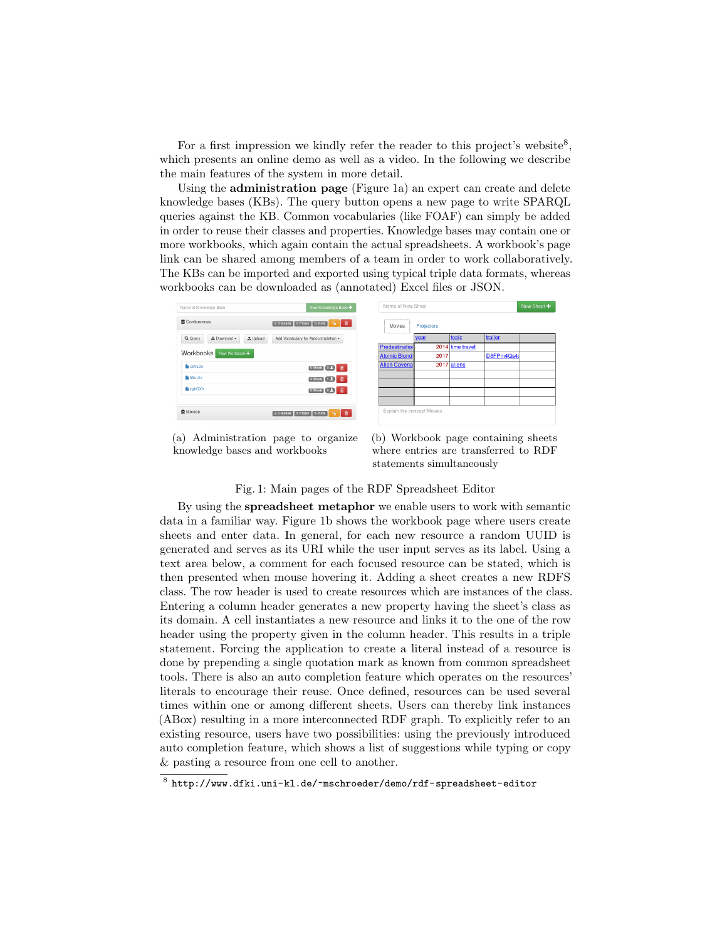For a first impression we kindly refer the reader to this project's website<sup>[8](#page-2-0)</sup>, which presents an online demo as well as a video. In the following we describe the main features of the system in more detail.

Using the administration page (Figure [1a\)](#page-2-1) an expert can create and delete knowledge bases (KBs). The query button opens a new page to write SPARQL queries against the KB. Common vocabularies (like FOAF) can simply be added in order to reuse their classes and properties. Knowledge bases may contain one or more workbooks, which again contain the actual spreadsheets. A workbook's page link can be shared among members of a team in order to work collaboratively. The KBs can be imported and exported using typical triple data formats, whereas workbooks can be downloaded as (annotated) Excel files or JSON.

<span id="page-2-1"></span>

| Name of Knowledge Base                                                     | New Knowledge Base +                  | Name of New Sheet                 |            |                  |           | New Sheet + |
|----------------------------------------------------------------------------|---------------------------------------|-----------------------------------|------------|------------------|-----------|-------------|
| <b>■</b> Conferences<br>9<br>2 Classes 0 Props 0 Insts                     |                                       | <br>Movies<br>******************* | Projectors |                  |           |             |
| Q Query<br>± Download -<br>Add Vocabulary for Autocompletion -<br>1 Upload |                                       |                                   | year       | topic            | trailer   |             |
|                                                                            |                                       | Predestination                    |            | 2014 time travel |           |             |
| Workbooks<br>New Workbook +                                                |                                       | <b>Atomic Blond</b>               | 2017       |                  | D8FPm4Qs4 |             |
| <b>Na</b> xbVsDn                                                           | 0 Sheets 0 1 1                        | <b>Alien Covena</b>               |            | $2017$ aliens    |           |             |
| <b>In WuUtz</b>                                                            | 3 Sheets 1 1 1                        |                                   |            |                  |           |             |
| <b>li</b> vabQXh                                                           | o Sheets 0.1 <b>m</b>                 |                                   |            |                  |           |             |
|                                                                            |                                       |                                   |            |                  |           |             |
| <b>■</b> Movies                                                            | 2 Classes   6 Props   5 Insts   全   前 | Explain the concept Movies        |            |                  |           |             |

(a) Administration page to organize knowledge bases and workbooks

(b) Workbook page containing sheets where entries are transferred to RDF statements simultaneously

#### Fig. 1: Main pages of the RDF Spreadsheet Editor

By using the spreadsheet metaphor we enable users to work with semantic data in a familiar way. Figure [1b](#page-2-1) shows the workbook page where users create sheets and enter data. In general, for each new resource a random UUID is generated and serves as its URI while the user input serves as its label. Using a text area below, a comment for each focused resource can be stated, which is then presented when mouse hovering it. Adding a sheet creates a new RDFS class. The row header is used to create resources which are instances of the class. Entering a column header generates a new property having the sheet's class as its domain. A cell instantiates a new resource and links it to the one of the row header using the property given in the column header. This results in a triple statement. Forcing the application to create a literal instead of a resource is done by prepending a single quotation mark as known from common spreadsheet tools. There is also an auto completion feature which operates on the resources' literals to encourage their reuse. Once defined, resources can be used several times within one or among different sheets. Users can thereby link instances (ABox) resulting in a more interconnected RDF graph. To explicitly refer to an existing resource, users have two possibilities: using the previously introduced auto completion feature, which shows a list of suggestions while typing or copy & pasting a resource from one cell to another.

<span id="page-2-0"></span> $^8$  <http://www.dfki.uni-kl.de/~mschroeder/demo/rdf-spreadsheet-editor>